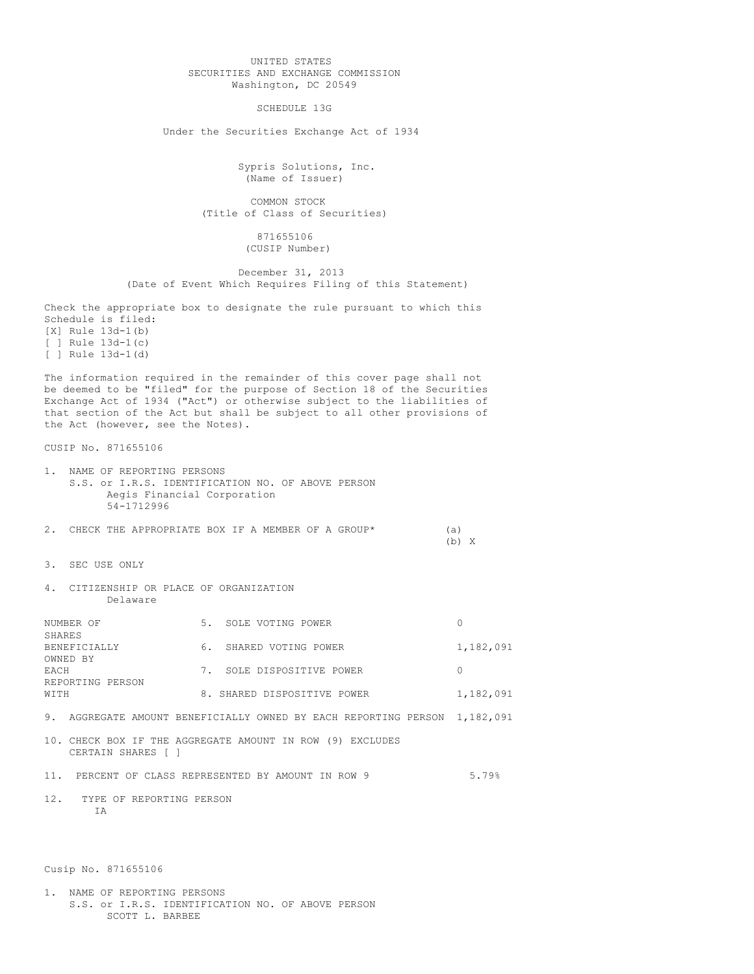## UNITED STATES SECURITIES AND EXCHANGE COMMISSION Washington, DC 20549

SCHEDULE 13G

Under the Securities Exchange Act of 1934

Sypris Solutions, Inc. (Name of Issuer)

COMMON STOCK (Title of Class of Securities)

> 871655106 (CUSIP Number)

December 31, 2013 (Date of Event Which Requires Filing of this Statement)

Check the appropriate box to designate the rule pursuant to which this Schedule is filed: [X] Rule 13d-1(b) [ ] Rule 13d-1(c) [ ] Rule 13d-1(d)

The information required in the remainder of this cover page shall not be deemed to be "filed" for the purpose of Section 18 of the Securities Exchange Act of 1934 ("Act") or otherwise subject to the liabilities of that section of the Act but shall be subject to all other provisions of the Act (however, see the Notes).

CUSIP No. 871655106

- 1. NAME OF REPORTING PERSONS S.S. or I.R.S. IDENTIFICATION NO. OF ABOVE PERSON Aegis Financial Corporation 54-1712996
- 2. CHECK THE APPROPRIATE BOX IF A MEMBER OF A GROUP\* (a) (b) X
- 3. SEC USE ONLY
- 4. CITIZENSHIP OR PLACE OF ORGANIZATION Delaware

| NUMBER OF        | 5. | SOLE VOTING POWER           |           |
|------------------|----|-----------------------------|-----------|
| SHARES           |    |                             |           |
| BENEFICIALLY     | 6. | SHARED VOTING POWER         | 1,182,091 |
| OWNED BY         |    |                             |           |
| <b>FACH</b>      |    | SOLE DISPOSITIVE POWER      |           |
| REPORTING PERSON |    |                             |           |
| WTTH             |    | 8. SHARED DISPOSITIVE POWER | 1,182,091 |
|                  |    |                             |           |

- 9. AGGREGATE AMOUNT BENEFICIALLY OWNED BY EACH REPORTING PERSON 1,182,091
- 10. CHECK BOX IF THE AGGREGATE AMOUNT IN ROW (9) EXCLUDES CERTAIN SHARES [ ]
- 11. PERCENT OF CLASS REPRESENTED BY AMOUNT IN ROW 9 5.79%
- 12. TYPE OF REPORTING PERSON T<sub>A</sub>

Cusip No. 871655106

1. NAME OF REPORTING PERSONS S.S. or I.R.S. IDENTIFICATION NO. OF ABOVE PERSON SCOTT L. BARBEE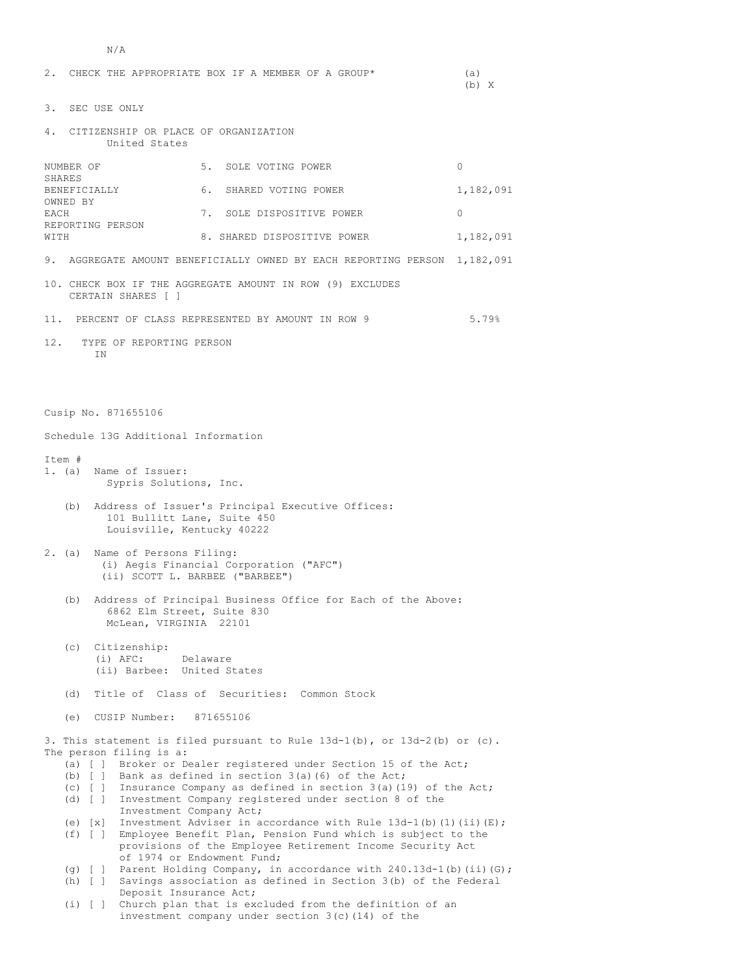```
N/A
```

| 2.<br>CHECK THE APPROPRIATE BOX IF A MEMBER OF A GROUP*                                                                                                                                                                                                                                                                                                                                                                                                                                                                                                                                                                                                                                                                                                                                                                                                 |                                                              |           |  |  |
|---------------------------------------------------------------------------------------------------------------------------------------------------------------------------------------------------------------------------------------------------------------------------------------------------------------------------------------------------------------------------------------------------------------------------------------------------------------------------------------------------------------------------------------------------------------------------------------------------------------------------------------------------------------------------------------------------------------------------------------------------------------------------------------------------------------------------------------------------------|--------------------------------------------------------------|-----------|--|--|
| 3.<br>SEC USE ONLY                                                                                                                                                                                                                                                                                                                                                                                                                                                                                                                                                                                                                                                                                                                                                                                                                                      |                                                              |           |  |  |
| 4.<br>CITIZENSHIP OR PLACE OF ORGANIZATION<br>United States                                                                                                                                                                                                                                                                                                                                                                                                                                                                                                                                                                                                                                                                                                                                                                                             |                                                              |           |  |  |
| NUMBER OF<br>SHARES                                                                                                                                                                                                                                                                                                                                                                                                                                                                                                                                                                                                                                                                                                                                                                                                                                     | 5. SOLE VOTING POWER                                         | $\Omega$  |  |  |
| BENEFICIALLY<br>OWNED BY                                                                                                                                                                                                                                                                                                                                                                                                                                                                                                                                                                                                                                                                                                                                                                                                                                | 6.<br>SHARED VOTING POWER                                    | 1,182,091 |  |  |
| EACH<br>REPORTING PERSON<br>WITH                                                                                                                                                                                                                                                                                                                                                                                                                                                                                                                                                                                                                                                                                                                                                                                                                        | 7.<br>SOLE DISPOSITIVE POWER                                 | 0         |  |  |
|                                                                                                                                                                                                                                                                                                                                                                                                                                                                                                                                                                                                                                                                                                                                                                                                                                                         | 8. SHARED DISPOSITIVE POWER                                  | 1,182,091 |  |  |
| 9.                                                                                                                                                                                                                                                                                                                                                                                                                                                                                                                                                                                                                                                                                                                                                                                                                                                      | AGGREGATE AMOUNT BENEFICIALLY OWNED BY EACH REPORTING PERSON | 1,182,091 |  |  |
| 10. CHECK BOX IF THE AGGREGATE AMOUNT IN ROW (9) EXCLUDES<br>CERTAIN SHARES [ ]                                                                                                                                                                                                                                                                                                                                                                                                                                                                                                                                                                                                                                                                                                                                                                         |                                                              |           |  |  |
| 5.79%<br>11. PERCENT OF CLASS REPRESENTED BY AMOUNT IN ROW 9                                                                                                                                                                                                                                                                                                                                                                                                                                                                                                                                                                                                                                                                                                                                                                                            |                                                              |           |  |  |
| 12.<br>TYPE OF REPORTING PERSON<br>ΙN                                                                                                                                                                                                                                                                                                                                                                                                                                                                                                                                                                                                                                                                                                                                                                                                                   |                                                              |           |  |  |
| Cusip No. 871655106                                                                                                                                                                                                                                                                                                                                                                                                                                                                                                                                                                                                                                                                                                                                                                                                                                     |                                                              |           |  |  |
| Schedule 13G Additional Information                                                                                                                                                                                                                                                                                                                                                                                                                                                                                                                                                                                                                                                                                                                                                                                                                     |                                                              |           |  |  |
| Item #<br>1. (a) Name of Issuer:<br>Sypris Solutions, Inc.<br>Address of Issuer's Principal Executive Offices:<br>(b)                                                                                                                                                                                                                                                                                                                                                                                                                                                                                                                                                                                                                                                                                                                                   |                                                              |           |  |  |
| 101 Bullitt Lane, Suite 450<br>Louisville, Kentucky 40222                                                                                                                                                                                                                                                                                                                                                                                                                                                                                                                                                                                                                                                                                                                                                                                               |                                                              |           |  |  |
| 2. (a)<br>Name of Persons Filing:<br>(i) Aegis Financial Corporation ("AFC")<br>(ii) SCOTT L. BARBEE ("BARBEE")                                                                                                                                                                                                                                                                                                                                                                                                                                                                                                                                                                                                                                                                                                                                         |                                                              |           |  |  |
| Address of Principal Business Office for Each of the Above:<br>(b)<br>6862 Elm Street, Suite 830<br>McLean, VIRGINIA 22101                                                                                                                                                                                                                                                                                                                                                                                                                                                                                                                                                                                                                                                                                                                              |                                                              |           |  |  |
| Citizenship:<br>(c)<br>$(i)$ AFC:<br>Delaware<br>(ii) Barbee: United States                                                                                                                                                                                                                                                                                                                                                                                                                                                                                                                                                                                                                                                                                                                                                                             |                                                              |           |  |  |
| (d)                                                                                                                                                                                                                                                                                                                                                                                                                                                                                                                                                                                                                                                                                                                                                                                                                                                     | Title of Class of Securities: Common Stock                   |           |  |  |
| (e)<br>CUSIP Number:<br>871655106                                                                                                                                                                                                                                                                                                                                                                                                                                                                                                                                                                                                                                                                                                                                                                                                                       |                                                              |           |  |  |
| 3. This statement is filed pursuant to Rule $13d-1(b)$ , or $13d-2(b)$ or (c).<br>The person filing is a:<br>(a) [ ] Broker or Dealer registered under Section 15 of the Act;<br>(b) [ ] Bank as defined in section $3(a)$ (6) of the Act;<br>(c) [ ] Insurance Company as defined in section $3(a)$ (19) of the Act;<br>(d) [ ] Investment Company registered under section 8 of the<br>Investment Company Act;<br>(e) [x] Investment Adviser in accordance with Rule $13d-1$ (b) (1) (ii) (E);<br>(f) [ ] Employee Benefit Plan, Pension Fund which is subject to the<br>provisions of the Employee Retirement Income Security Act<br>of 1974 or Endowment Fund;<br>Parent Holding Company, in accordance with 240.13d-1(b) (ii) (G);<br>$(q)$ [ ]<br>(h) [ ] Savings association as defined in Section 3(b) of the Federal<br>Deposit Insurance Act; |                                                              |           |  |  |
| $(i)$ [ ]                                                                                                                                                                                                                                                                                                                                                                                                                                                                                                                                                                                                                                                                                                                                                                                                                                               | Church plan that is excluded from the definition of an       |           |  |  |

investment company under section 3(c)(14) of the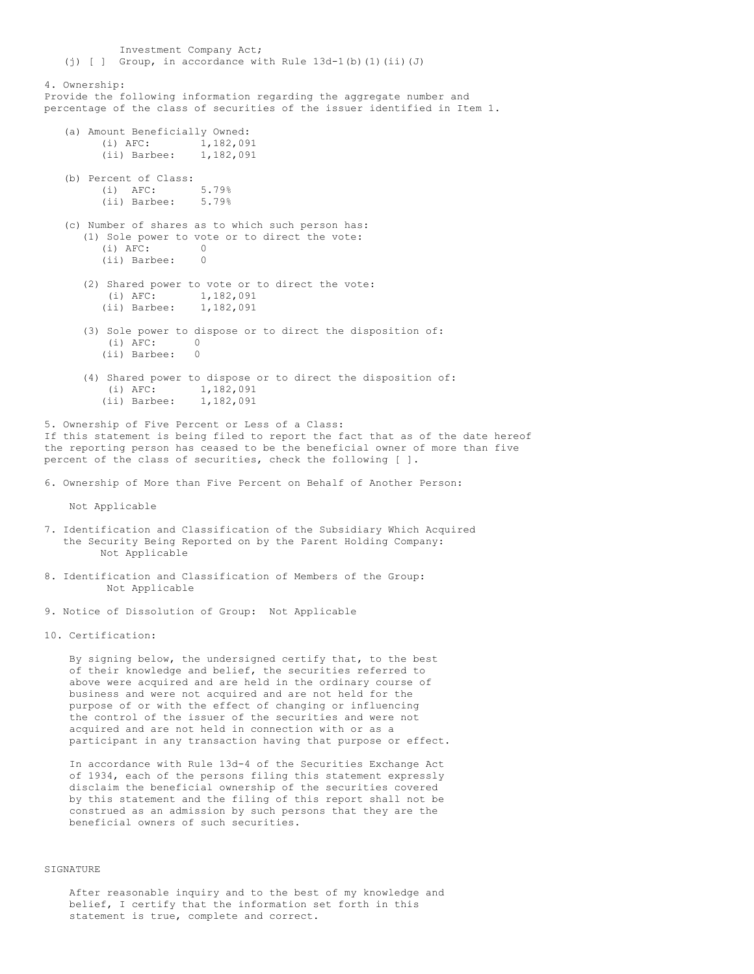Investment Company Act; (j) [ ] Group, in accordance with Rule 13d-1(b)(1)(ii)(J) 4. Ownership: Provide the following information regarding the aggregate number and percentage of the class of securities of the issuer identified in Item 1. (a) Amount Beneficially Owned: (i) AFC: 1,182,091 (ii) Barbee: 1,182,091 (b) Percent of Class: (i)  $\text{AFC:}$  5.79%<br>(ii) Barbee: 5.79% (ii) Barbee: (c) Number of shares as to which such person has: (1) Sole power to vote or to direct the vote:<br>(i)  $\Delta F C$ : (i)  $\text{AFC:}$  0<br>(ii) Barbee: 0 (ii) Barbee: 0 (2) Shared power to vote or to direct the vote:<br>(i)  $AFC: 1,182,091$  $(i)$  AFC: (ii) Barbee: 1,182,091 (3) Sole power to dispose or to direct the disposition of: (i) AFC: 0 (ii) Barbee: 0 (4) Shared power to dispose or to direct the disposition of: (i) AFC: 1,182,091 (ii) Barbee: 1,182,091

5. Ownership of Five Percent or Less of a Class: If this statement is being filed to report the fact that as of the date hereof the reporting person has ceased to be the beneficial owner of more than five percent of the class of securities, check the following [ ].

6. Ownership of More than Five Percent on Behalf of Another Person:

Not Applicable

- 7. Identification and Classification of the Subsidiary Which Acquired the Security Being Reported on by the Parent Holding Company: Not Applicable
- 8. Identification and Classification of Members of the Group: Not Applicable

9. Notice of Dissolution of Group: Not Applicable

10. Certification:

By signing below, the undersigned certify that, to the best of their knowledge and belief, the securities referred to above were acquired and are held in the ordinary course of business and were not acquired and are not held for the purpose of or with the effect of changing or influencing the control of the issuer of the securities and were not acquired and are not held in connection with or as a participant in any transaction having that purpose or effect.

In accordance with Rule 13d-4 of the Securities Exchange Act of 1934, each of the persons filing this statement expressly disclaim the beneficial ownership of the securities covered by this statement and the filing of this report shall not be construed as an admission by such persons that they are the beneficial owners of such securities.

## SIGNATURE

After reasonable inquiry and to the best of my knowledge and belief, I certify that the information set forth in this statement is true, complete and correct.